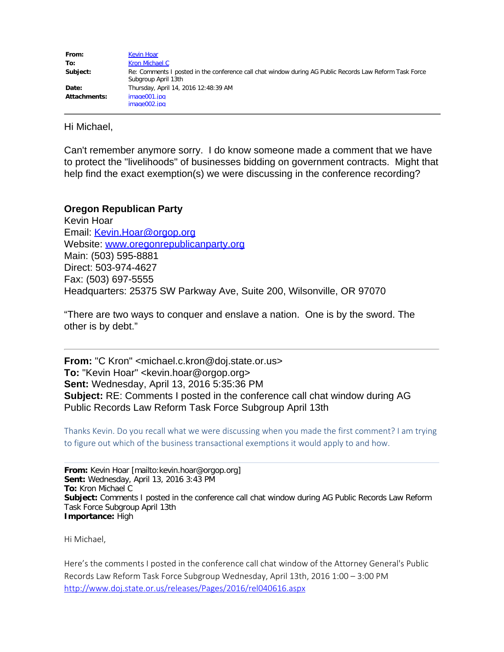| From:        | Kevin Hoar                                                                                                                     |
|--------------|--------------------------------------------------------------------------------------------------------------------------------|
| To:          | Kron Michael C                                                                                                                 |
| Subject:     | Re: Comments I posted in the conference call chat window during AG Public Records Law Reform Task Force<br>Subgroup April 13th |
| Date:        | Thursday, April 14, 2016 12:48:39 AM                                                                                           |
| Attachments: | image001.jpg                                                                                                                   |
|              | image002.jpg                                                                                                                   |

Hi Michael,

Can't remember anymore sorry. I do know someone made a comment that we have to protect the "livelihoods" of businesses bidding on government contracts. Might that help find the exact exemption(s) we were discussing in the conference recording?

## **Oregon Republican Party**

Kevin Hoar Email: [Kevin.Hoar@orgop.org](mailto:Kevin.Hoar@orgop.org) Website: [www.oregonrepublicanparty.org](http://www.oregonrepublicanparty.org/) Main: (503) 595-8881 Direct: 503-974-4627 Fax: (503) 697-5555 Headquarters: 25375 SW Parkway Ave, Suite 200, Wilsonville, OR 97070

"There are two ways to conquer and enslave a nation. One is by the sword. The other is by debt."

**From:** "C Kron" <michael.c.kron@doj.state.or.us> **To:** "Kevin Hoar" <kevin.hoar@orgop.org> **Sent:** Wednesday, April 13, 2016 5:35:36 PM **Subject:** RE: Comments I posted in the conference call chat window during AG Public Records Law Reform Task Force Subgroup April 13th

Thanks Kevin. Do you recall what we were discussing when you made the first comment? I am trying to figure out which of the business transactional exemptions it would apply to and how.

**From:** Kevin Hoar [mailto:kevin.hoar@orgop.org] **Sent:** Wednesday, April 13, 2016 3:43 PM **To:** Kron Michael C **Subject:** Comments I posted in the conference call chat window during AG Public Records Law Reform Task Force Subgroup April 13th **Importance:** High

Hi Michael,

Here's the comments I posted in the conference call chat window of the Attorney General's Public Records Law Reform Task Force Subgroup Wednesday, April 13th, 2016 1:00 – 3:00 PM [http://www.doj.state.or.us/releases/Pages/2016/rel040616.aspx](http://sg1link.orgop.org/wf/click?upn=QKWTqMT1tnJrzDlYN3h0T6-2B2FHqPIh1YbwBjoe1gHuHiVaAXjY5UmO8lbihBFtid1KhGe7sWVS8eU7xdgYtcPDcEM8TH-2Fv4UXz1jAwMVCqqi5ovhyITyhBiC-2FglaRmQOJ3DRshyCUjHkM0p2bRxVQtpcIUzGAffdgxf9APJiyJ11XW9RZLDMAeIzw7q81JnddyoZxv-2BDOFcT1Uem-2Fp9P3HUA2VyyutebounUNEZgPfyDwHbfm-2Fn1dYWIxyKbRZsrryJ3tt-2FTps3aSG4c6iYeYb7j7eF9XIKlL-2FGsFNl8kvuJCCLCZrkfDjm4rlSI8t6btoZUU8hDi-2F8yVtBMG8t4nacHY8HiVkvpslre0kPX6QIOg4kyHGsOiH6iILGpJBPYqPb-2BmWtvKp3HNjLGcDw4zFpETHmJAOJQoq1FCFeFLNvXt7SQCxTxge1h2kRVXvaTciaHiZZ088ndybyCxlV3oLiz2Cb4S1A5cF7Wyloz43BOQ2O0jIm2Xl3xI9ZK2pUM6hMxnkOuQ-2BBW7S-2FPv8HuJVcTdzf0Cyy-2BnbvWn0ECjeGlPoztrkiR0NMdmMJe6RMv_HDu-2BON2WuckNVJ2U1s3AlN4ee5gZtlfZ-2B4Jxg5hcNqHs2kDMjy-2BUpRARCdax0H68M-2B0l3GYO2nZyhwHT3dzK1wncPxlFvN9oNVQxAKqcxqu0febk6IKsKRKCKG5mvKDjpyXeK0gph2GuMAJduBlOc2jB51U6SxraJokQQVKf6H22vvVAHB4jvmuGT4Q35NJfEV9tdaetAyFA1EnLz0R0l-2Blyy-2Fh0bd39asSenKYLIp4-3D)